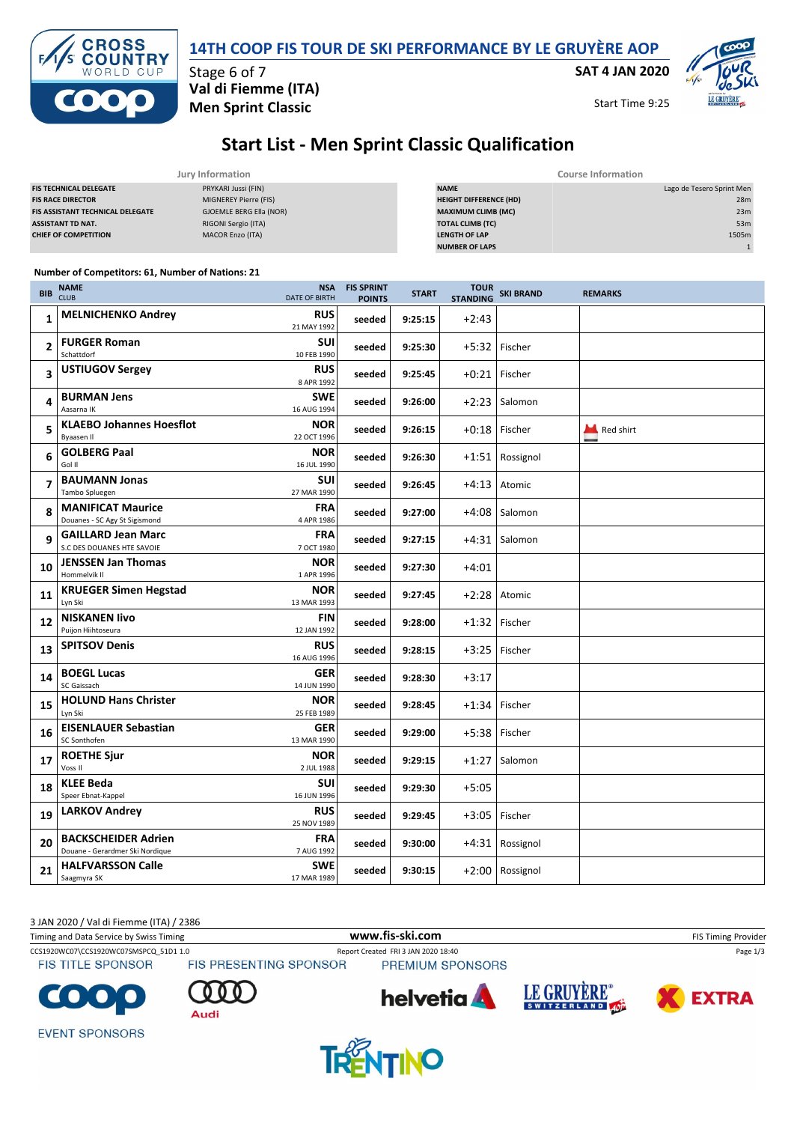| <b>ICO 000</b>    | Val di Fiemme (ITA)<br><b>Men Sprint Classic</b> |  |  |
|-------------------|--------------------------------------------------|--|--|
|                   | Stage 6 of 7                                     |  |  |
| <b>EXTS CROSS</b> | 14TH COOP FIS TO                                 |  |  |

### **14TH COOP FIS TOUR DE SKI PERFORMANCE BY LE GRUYÈRE AOP**

**SAT 4 JAN 2020**

Start Time 9:25

**LE GRUYÈRE** 

# **Start List - Men Sprint Classic Qualification**

|                                  | Jury Information        | <b>Course Information</b>     |                           |  |  |
|----------------------------------|-------------------------|-------------------------------|---------------------------|--|--|
| <b>FIS TECHNICAL DELEGATE</b>    | PRYKARI Jussi (FIN)     | <b>NAME</b>                   | Lago de Tesero Sprint Men |  |  |
| <b>FIS RACE DIRECTOR</b>         | MIGNEREY Pierre (FIS)   | <b>HEIGHT DIFFERENCE (HD)</b> | 28m                       |  |  |
| FIS ASSISTANT TECHNICAL DELEGATE | GJOEMLE BERG Ella (NOR) | <b>MAXIMUM CLIMB (MC)</b>     | 23m                       |  |  |
| ASSISTANT TD NAT.                | RIGONI Sergio (ITA)     | <b>TOTAL CLIMB (TC)</b>       | 53m                       |  |  |
| <b>CHIEF OF COMPETITION</b>      | MACOR Enzo (ITA)        | <b>LENGTH OF LAP</b>          | 1505m                     |  |  |
|                                  |                         | <b>NUMBER OF LAPS</b>         |                           |  |  |

#### **Number of Competitors: 61, Number of Nations: 21**

| <b>BIB</b>     | <b>NAME</b><br><b>CLUB</b>                                    | <b>NSA</b><br><b>DATE OF BIRTH</b> | <b>FIS SPRINT</b><br><b>POINTS</b> | <b>START</b> | <b>TOUR</b><br><b>STANDING</b> | <b>SKI BRAND</b> | <b>REMARKS</b> |
|----------------|---------------------------------------------------------------|------------------------------------|------------------------------------|--------------|--------------------------------|------------------|----------------|
| 1              | <b>MELNICHENKO Andrey</b>                                     | <b>RUS</b><br>21 MAY 1992          | seeded                             | 9:25:15      | $+2:43$                        |                  |                |
| $\overline{2}$ | <b>FURGER Roman</b><br>Schattdorf                             | SUI<br>10 FEB 1990                 | seeded                             | 9:25:30      |                                | +5:32 Fischer    |                |
| 3              | <b>USTIUGOV Sergey</b>                                        | <b>RUS</b><br>8 APR 1992           | seeded                             | 9:25:45      | $+0:21$                        | Fischer          |                |
| 4              | <b>BURMAN Jens</b><br>Aasarna IK                              | <b>SWE</b><br>16 AUG 1994          | seeded                             | 9:26:00      | $+2:23$                        | Salomon          |                |
| 5              | <b>KLAEBO Johannes Hoesflot</b><br>Byaasen II                 | <b>NOR</b><br>22 OCT 1996          | seeded                             | 9:26:15      |                                | +0:18 Fischer    | Red shirt      |
| 6              | <b>GOLBERG Paal</b><br>Gol II                                 | <b>NOR</b><br>16 JUL 1990          | seeded                             | 9:26:30      | $+1:51$                        | Rossignol        |                |
| $\overline{7}$ | <b>BAUMANN Jonas</b><br>Tambo Spluegen                        | <b>SUI</b><br>27 MAR 1990          | seeded                             | 9:26:45      |                                | $+4:13$ Atomic   |                |
| 8              | <b>MANIFICAT Maurice</b><br>Douanes - SC Agy St Sigismond     | <b>FRA</b><br>4 APR 1986           | seeded                             | 9:27:00      | $+4:08$                        | Salomon          |                |
| 9              | <b>GAILLARD Jean Marc</b><br>S.C DES DOUANES HTE SAVOIE       | <b>FRA</b><br>7 OCT 1980           | seeded                             | 9:27:15      |                                | $+4:31$ Salomon  |                |
| 10             | <b>JENSSEN Jan Thomas</b><br>Hommelvik II                     | <b>NOR</b><br>1 APR 1996           | seeded                             | 9:27:30      | $+4:01$                        |                  |                |
| 11             | <b>KRUEGER Simen Hegstad</b><br>Lyn Ski                       | <b>NOR</b><br>13 MAR 1993          | seeded                             | 9:27:45      | $+2:28$                        | Atomic           |                |
| 12             | <b>NISKANEN livo</b><br>Puijon Hiihtoseura                    | <b>FIN</b><br>12 JAN 1992          | seeded                             | 9:28:00      |                                | +1:32 Fischer    |                |
| 13             | <b>SPITSOV Denis</b>                                          | <b>RUS</b><br>16 AUG 1996          | seeded                             | 9:28:15      | $+3:25$                        | Fischer          |                |
| 14             | <b>BOEGL Lucas</b><br>SC Gaissach                             | <b>GER</b><br>14 JUN 1990          | seeded                             | 9:28:30      | $+3:17$                        |                  |                |
| 15             | <b>HOLUND Hans Christer</b><br>Lyn Ski                        | <b>NOR</b><br>25 FEB 1989          | seeded                             | 9:28:45      | $+1:34$                        | Fischer          |                |
| 16             | <b>EISENLAUER Sebastian</b><br>SC Sonthofen                   | <b>GER</b><br>13 MAR 1990          | seeded                             | 9:29:00      |                                | +5:38 Fischer    |                |
| 17             | <b>ROETHE Sjur</b><br>Voss II                                 | <b>NOR</b><br>2 JUL 1988           | seeded                             | 9:29:15      | $+1:27$                        | Salomon          |                |
| 18             | <b>KLEE Beda</b><br>Speer Ebnat-Kappel                        | <b>SUI</b><br>16 JUN 1996          | seeded                             | 9:29:30      | $+5:05$                        |                  |                |
| 19             | <b>LARKOV Andrey</b>                                          | <b>RUS</b><br>25 NOV 1989          | seeded                             | 9:29:45      | $+3:05$                        | Fischer          |                |
| 20             | <b>BACKSCHEIDER Adrien</b><br>Douane - Gerardmer Ski Nordigue | <b>FRA</b><br>7 AUG 1992           | seeded                             | 9:30:00      |                                | +4:31 Rossignol  |                |
| 21             | <b>HALFVARSSON Calle</b><br>Saagmyra SK                       | <b>SWE</b><br>17 MAR 1989          | seeded                             | 9:30:15      |                                | +2:00 Rossignol  |                |

Timing and Data Service by Swiss Timing **WWW.fis-Ski.com WWW.fis-Ski.com** FIS Timing Provider 3 JAN 2020 / Val di Fiemme (ITA) / 2386

**FIS TITLE SPONSOR** 

CCS1920WC07\CCS1920WC07SMSPCQ\_51D1 1.0 Report Created FRI 3 JAN 2020 18:40 Page 1/3<br>FIS TITLE SPONSOR FIS PRESENTING SPONSOR PREMIUM SPONSORS



Audi







**EVENT SPONSORS** 

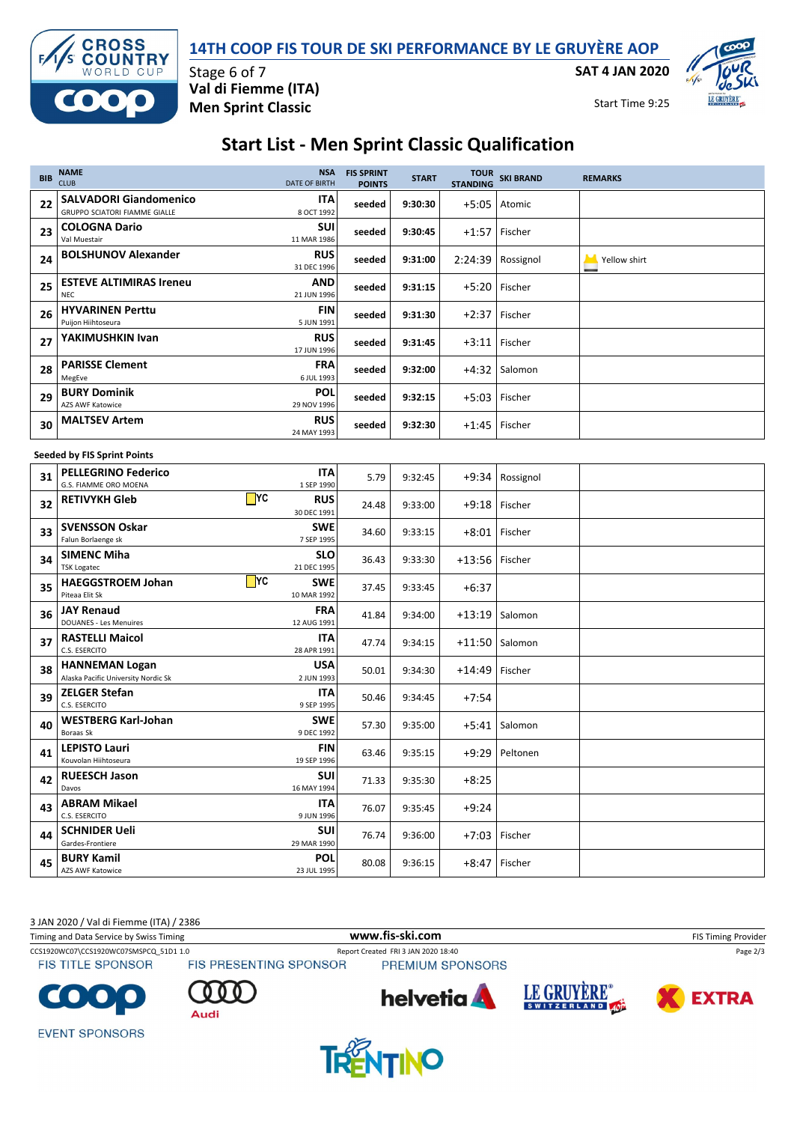

**SAT 4 JAN 2020**





Stage 6 of 7 **Val di Fiemme (ITA) Men Sprint Classic**

Start Time 9:25

## **Start List - Men Sprint Classic Qualification**

| <b>BIB</b>                         | <b>NAME</b><br><b>CLUB</b>                                     | <b>NSA</b><br><b>DATE OF BIRTH</b> | <b>FIS SPRINT</b><br><b>POINTS</b> | <b>START</b> |                  | TOUR SKI BRAND<br>STANDING | <b>REMARKS</b> |  |
|------------------------------------|----------------------------------------------------------------|------------------------------------|------------------------------------|--------------|------------------|----------------------------|----------------|--|
| 22                                 | <b>SALVADORI Giandomenico</b><br>GRUPPO SCIATORI FIAMME GIALLE | ITA<br>8 OCT 1992                  | seeded                             | 9:30:30      | $+5:05$          | Atomic                     |                |  |
| 23                                 | <b>COLOGNA Dario</b><br>Val Muestair                           | SUI<br>11 MAR 1986                 | seeded                             | 9:30:45      |                  | +1:57 Fischer              |                |  |
| 24                                 | <b>BOLSHUNOV Alexander</b>                                     | <b>RUS</b><br>31 DEC 1996          | seeded                             | 9:31:00      |                  | 2:24:39 Rossignol          | Yellow shirt   |  |
| 25                                 | <b>ESTEVE ALTIMIRAS Ireneu</b><br><b>NEC</b>                   | <b>AND</b><br>21 JUN 1996          | seeded                             | 9:31:15      |                  | +5:20 Fischer              |                |  |
| 26                                 | <b>HYVARINEN Perttu</b><br>Puijon Hiihtoseura                  | <b>FIN</b><br>5 JUN 1991           | seeded                             | 9:31:30      | $+2:37$          | Fischer                    |                |  |
| 27                                 | YAKIMUSHKIN Ivan                                               | <b>RUS</b><br>17 JUN 1996          | seeded                             | 9:31:45      |                  | +3:11 Fischer              |                |  |
| 28                                 | <b>PARISSE Clement</b><br>MegEve                               | <b>FRA</b><br>6 JUL 1993           | seeded                             | 9:32:00      |                  | $+4:32$ Salomon            |                |  |
| 29                                 | <b>BURY Dominik</b><br>AZS AWF Katowice                        | <b>POL</b><br>29 NOV 1996          | seeded                             | 9:32:15      | $+5:03$          | Fischer                    |                |  |
| 30                                 | <b>MALTSEV Artem</b>                                           | <b>RUS</b><br>24 MAY 1993          | seeded                             | 9:32:30      |                  | $+1:45$ Fischer            |                |  |
| <b>Seeded by FIS Sprint Points</b> |                                                                |                                    |                                    |              |                  |                            |                |  |
| 31                                 | <b>PELLEGRINO Federico</b><br>G.S. FIAMME ORO MOENA            | <b>ITA</b><br>1 SEP 1990           | 5.79                               | 9:32:45      |                  | $+9:34$ Rossignol          |                |  |
| 32                                 | $\blacksquare$ YC<br><b>RETIVYKH Gleb</b>                      | <b>RUS</b><br>30 DEC 1991          | 24.48                              | 9:33:00      |                  | +9:18 Fischer              |                |  |
| 33                                 | <b>SVENSSON Oskar</b><br>Falun Borlaenge sk                    | <b>SWE</b><br>7 SEP 1995           | 34.60                              | 9:33:15      | $+8:01$          | Fischer                    |                |  |
| 34                                 | <b>SIMENC Miha</b><br><b>TSK Logatec</b>                       | <b>SLO</b><br>21 DEC 1995          | 36.43                              | 9:33:30      | $+13:56$ Fischer |                            |                |  |
| 35                                 | $\Box$ YC<br><b>HAEGGSTROEM Johan</b><br>Piteaa Elit Sk        | <b>SWE</b><br>10 MAR 1992          | 37.45                              | 9:33:45      | $+6:37$          |                            |                |  |
| 36                                 | <b>JAY Renaud</b><br><b>DOUANES - Les Menuires</b>             | <b>FRA</b><br>12 AUG 1991          | 41.84                              | 9:34:00      | $+13:19$         | Salomon                    |                |  |
| 37                                 | <b>RASTELLI Maicol</b><br>C.S. ESERCITO                        | <b>ITA</b><br>28 APR 1991          | 47.74                              | 9:34:15      |                  | $+11:50$ Salomon           |                |  |
| 38                                 | <b>HANNEMAN Logan</b><br>Alaska Pacific University Nordic Sk   | <b>USA</b><br>2 JUN 1993           | 50.01                              | 9:34:30      | $+14:49$ Fischer |                            |                |  |
| 39                                 | <b>ZELGER Stefan</b><br>C.S. ESERCITO                          | ITA<br>9 SEP 1995                  | 50.46                              | 9:34:45      | $+7:54$          |                            |                |  |
| 40                                 | <b>WESTBERG Karl-Johan</b><br>Boraas Sk                        | <b>SWE</b><br>9 DEC 1992           | 57.30                              | 9:35:00      | $+5:41$          | Salomon                    |                |  |
| 41                                 | <b>LEPISTO Lauri</b><br>Kouvolan Hiihtoseura                   | <b>FIN</b><br>19 SEP 1996          | 63.46                              | 9:35:15      |                  | +9:29 Peltonen             |                |  |
| 42                                 | <b>RUEESCH Jason</b><br>Davos                                  | <b>SUI</b><br>16 MAY 1994          | 71.33                              | 9:35:30      | $+8:25$          |                            |                |  |
| 43                                 | <b>ABRAM Mikael</b><br>C.S. ESERCITO                           | <b>ITA</b><br>9 JUN 1996           | 76.07                              | 9:35:45      | $+9:24$          |                            |                |  |
| 44                                 | <b>SCHNIDER Ueli</b><br>Gardes-Frontiere                       | <b>SUI</b><br>29 MAR 1990          | 76.74                              | 9:36:00      |                  | +7:03 Fischer              |                |  |
| 45                                 | <b>BURY Kamil</b><br>AZS AWF Katowice                          | <b>POL</b><br>23 JUL 1995          | 80.08                              | 9:36:15      | $+8:47$          | Fischer                    |                |  |

3 JAN 2020 / Val di Fiemme (ITA) / 2386

Audi

Timing and Data Service by Swiss Timing **WWW.fis-Ski.com WWW.fis-Ski.com** FIS Timing Provider

**FIS TITLE SPONSOR** 

CCS1920WC07\CCS1920WC07SMSPCQ\_51D1 1.0 Report Created FRI 3 JAN 2020 18:40 Page 2/3<br>
FIS TITLE SPONSOR FIS PRESENTING SPONSOR PREMIUM SPONSORS

PREMIUM SPONSORS







**EVENT SPONSORS**